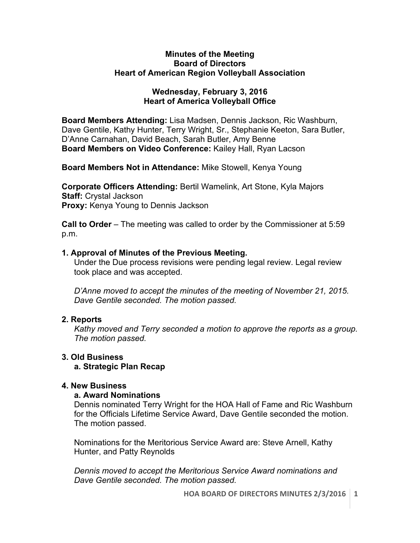#### **Minutes of the Meeting Board of Directors Heart of American Region Volleyball Association**

# **Wednesday, February 3, 2016 Heart of America Volleyball Office**

**Board Members Attending:** Lisa Madsen, Dennis Jackson, Ric Washburn, Dave Gentile, Kathy Hunter, Terry Wright, Sr., Stephanie Keeton, Sara Butler, D'Anne Carnahan, David Beach, Sarah Butler, Amy Benne **Board Members on Video Conference:** Kailey Hall, Ryan Lacson

**Board Members Not in Attendance:** Mike Stowell, Kenya Young

**Corporate Officers Attending:** Bertil Wamelink, Art Stone, Kyla Majors **Staff:** Crystal Jackson **Proxy:** Kenya Young to Dennis Jackson

**Call to Order** – The meeting was called to order by the Commissioner at 5:59 p.m.

# **1. Approval of Minutes of the Previous Meeting.**

Under the Due process revisions were pending legal review. Legal review took place and was accepted.

*D'Anne moved to accept the minutes of the meeting of November 21, 2015. Dave Gentile seconded. The motion passed.*

# **2. Reports**

*Kathy moved and Terry seconded a motion to approve the reports as a group. The motion passed.* 

# **3. Old Business**

# **a. Strategic Plan Recap**

# **4. New Business**

#### **a. Award Nominations**

Dennis nominated Terry Wright for the HOA Hall of Fame and Ric Washburn for the Officials Lifetime Service Award, Dave Gentile seconded the motion. The motion passed.

Nominations for the Meritorious Service Award are: Steve Arnell, Kathy Hunter, and Patty Reynolds

*Dennis moved to accept the Meritorious Service Award nominations and Dave Gentile seconded. The motion passed.*

**HOA BOARD OF DIRECTORS MINUTES 2/3/2016** 1